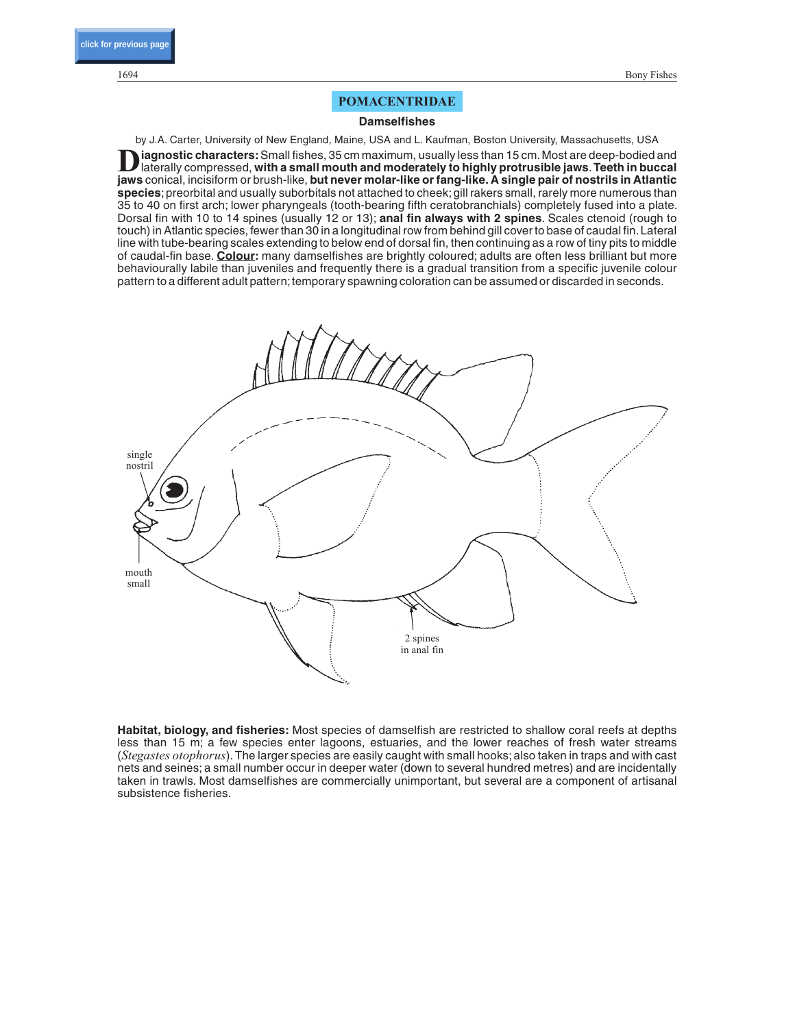# POMACENTRIDAE

### **Damselfishes**

by J.A. Carter, University of New England, Maine, USA and L. Kaufman, Boston University, Massachusetts, USA iagnostic characters: Small fishes, 35 cm maximum, usually less than 15 cm. Most are deep-bodied and laterally compressed, **with a small mouth and moderately to highly protrusible jaws**.**Teeth in buccal jaws** conical, incisiform or brush-like, **but never molar-like or fang-like. A single pair of nostrils in Atlantic species**; preorbital and usually suborbitals not attached to cheek; gill rakers small, rarely more numerous than 35 to 40 on first arch; lower pharyngeals (tooth-bearing fifth ceratobranchials) completely fused into a plate. Dorsal fin with 10 to 14 spines (usually 12 or 13); **anal fin always with 2 spines**. Scales ctenoid (rough to touch) in Atlantic species, fewer than 30 in a longitudinal row from behind gill cover to base of caudal fin. Lateral line with tube-bearing scales extending to below end of dorsal fin, then continuing as a row of tiny pits to middle of caudal-fin base. **Colour:** many damselfishes are brightly coloured; adults are often less brilliant but more behaviourally labile than juveniles and frequently there is a gradual transition from a specific juvenile colour pattern to a different adult pattern; temporary spawning coloration can be assumed or discarded in seconds.



**Habitat, biology, and fisheries:** Most species of damselfish are restricted to shallow coral reefs at depths less than 15 m; a few species enter lagoons, estuaries, and the lower reaches of fresh water streams (*Stegastes otophorus*). The larger species are easily caught with small hooks; also taken in traps and with cast nets and seines; a small number occur in deeper water (down to several hundred metres) and are incidentally taken in trawls. Most damselfishes are commercially unimportant, but several are a component of artisanal subsistence fisheries.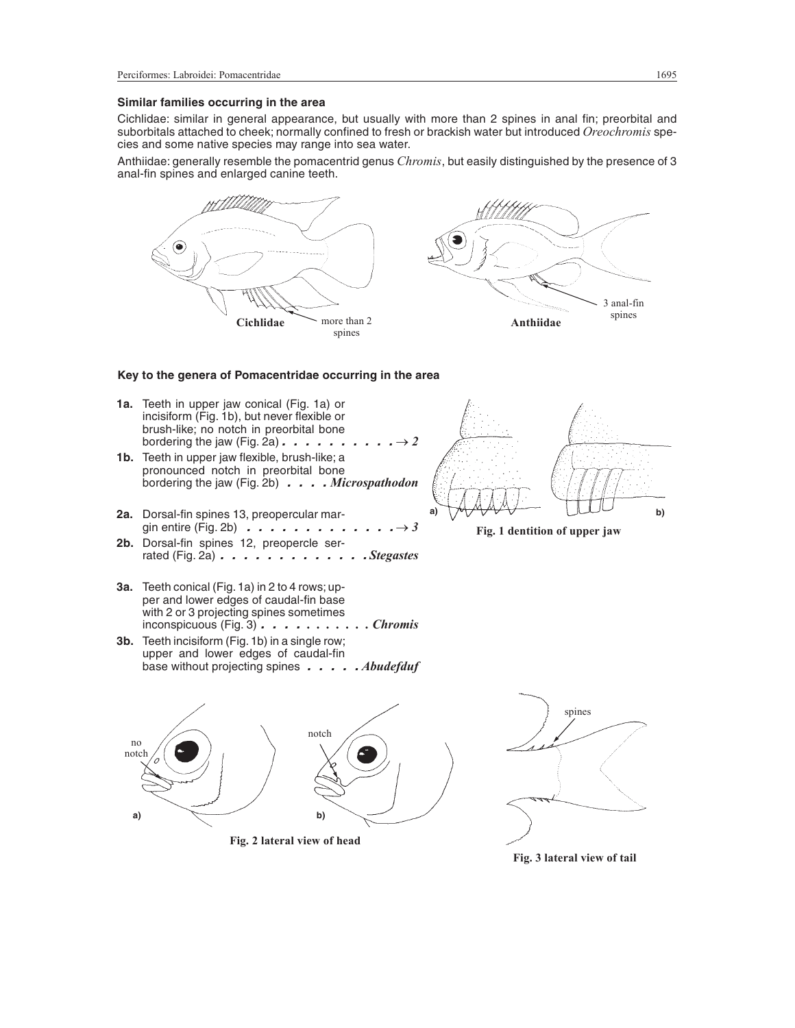## **Similar families occurring in the area**

Cichlidae: similar in general appearance, but usually with more than 2 spines in anal fin; preorbital and suborbitals attached to cheek; normally confined to fresh or brackish water but introduced *Oreochromis* species and some native species may range into sea water.

Anthiidae: generally resemble the pomacentrid genus *Chromis*, but easily distinguished by the presence of 3 anal-fin spines and enlarged canine teeth.



Fig. 2 lateral view of head

**a) b)**



Fig. 3 lateral view of tail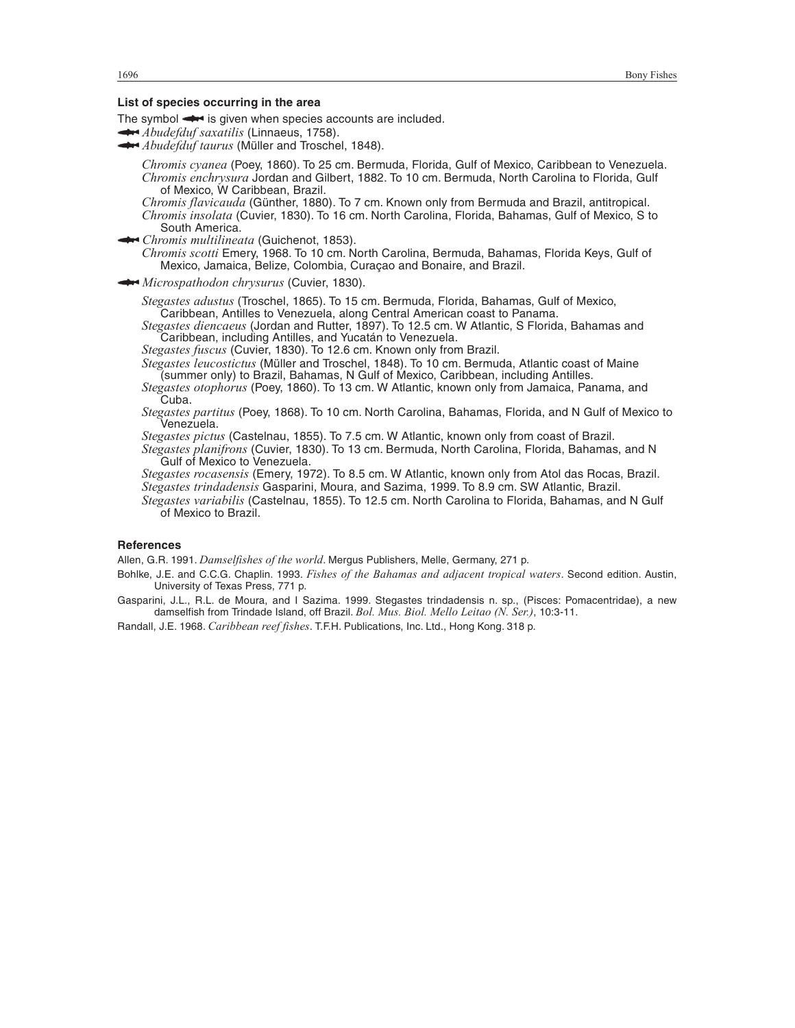### **List of species occurring in the area**

The symbol  $\rightarrow$  is given when species accounts are included.

*Abudefduf saxatilis* (Linnaeus, 1758).

**Abudefduf taurus** (Müller and Troschel, 1848).

*Chromis cyanea* (Poey, 1860). To 25 cm. Bermuda, Florida, Gulf of Mexico, Caribbean to Venezuela. *Chromis enchrysura* Jordan and Gilbert, 1882. To 10 cm. Bermuda, North Carolina to Florida, Gulf of Mexico, W Caribbean, Brazil.

*Chromis flavicauda* (Günther, 1880). To 7 cm. Known only from Bermuda and Brazil, antitropical.

*Chromis insolata* (Cuvier, 1830). To 16 cm. North Carolina, Florida, Bahamas, Gulf of Mexico, S to South America.

*Chromis multilineata* (Guichenot, 1853).

*Chromis scotti* Emery, 1968. To 10 cm. North Carolina, Bermuda, Bahamas, Florida Keys, Gulf of Mexico, Jamaica, Belize, Colombia, Curaçao and Bonaire, and Brazil.

*Microspathodon chrysurus* (Cuvier, 1830).

*Stegastes adustus* (Troschel, 1865). To 15 cm. Bermuda, Florida, Bahamas, Gulf of Mexico, Caribbean, Antilles to Venezuela, along Central American coast to Panama.

*Stegastes diencaeus* (Jordan and Rutter, 1897). To 12.5 cm. W Atlantic, S Florida, Bahamas and Caribbean, including Antilles, and Yucatán to Venezuela.

*Stegastes fuscus* (Cuvier, 1830). To 12.6 cm. Known only from Brazil.

*Stegastes leucostictus* (Müller and Troschel, 1848). To 10 cm. Bermuda, Atlantic coast of Maine (summer only) to Brazil, Bahamas, N Gulf of Mexico, Caribbean, including Antilles.

*Stegastes otophorus* (Poey, 1860). To 13 cm. W Atlantic, known only from Jamaica, Panama, and Cuba.

*Stegastes partitus* (Poey, 1868). To 10 cm. North Carolina, Bahamas, Florida, and N Gulf of Mexico to Venezuela.

*Stegastes pictus* (Castelnau, 1855). To 7.5 cm. W Atlantic, known only from coast of Brazil.

*Stegastes planifrons* (Cuvier, 1830). To 13 cm. Bermuda, North Carolina, Florida, Bahamas, and N Gulf of Mexico to Venezuela.

*Stegastes rocasensis* (Emery, 1972). To 8.5 cm. W Atlantic, known only from Atol das Rocas, Brazil. *Stegastes trindadensis* Gasparini, Moura, and Sazima, 1999. To 8.9 cm. SW Atlantic, Brazil.

*Stegastes variabilis* (Castelnau, 1855). To 12.5 cm. North Carolina to Florida, Bahamas, and N Gulf of Mexico to Brazil.

### **References**

Allen, G.R. 1991. *Damselfishes of the world*. Mergus Publishers, Melle, Germany, 271 p.

Bohlke, J.E. and C.C.G. Chaplin. 1993. *Fishes of the Bahamas and adjacent tropical waters*. Second edition. Austin, University of Texas Press, 771 p.

Gasparini, J.L., R.L. de Moura, and I Sazima. 1999. Stegastes trindadensis n. sp., (Pisces: Pomacentridae), a new damselfish from Trindade Island, off Brazil. *Bol. Mus. Biol. Mello Leitao (N. Ser.)*, 10:3-11.

Randall, J.E. 1968. *Caribbean reef fishes*. T.F.H. Publications, Inc. Ltd., Hong Kong. 318 p.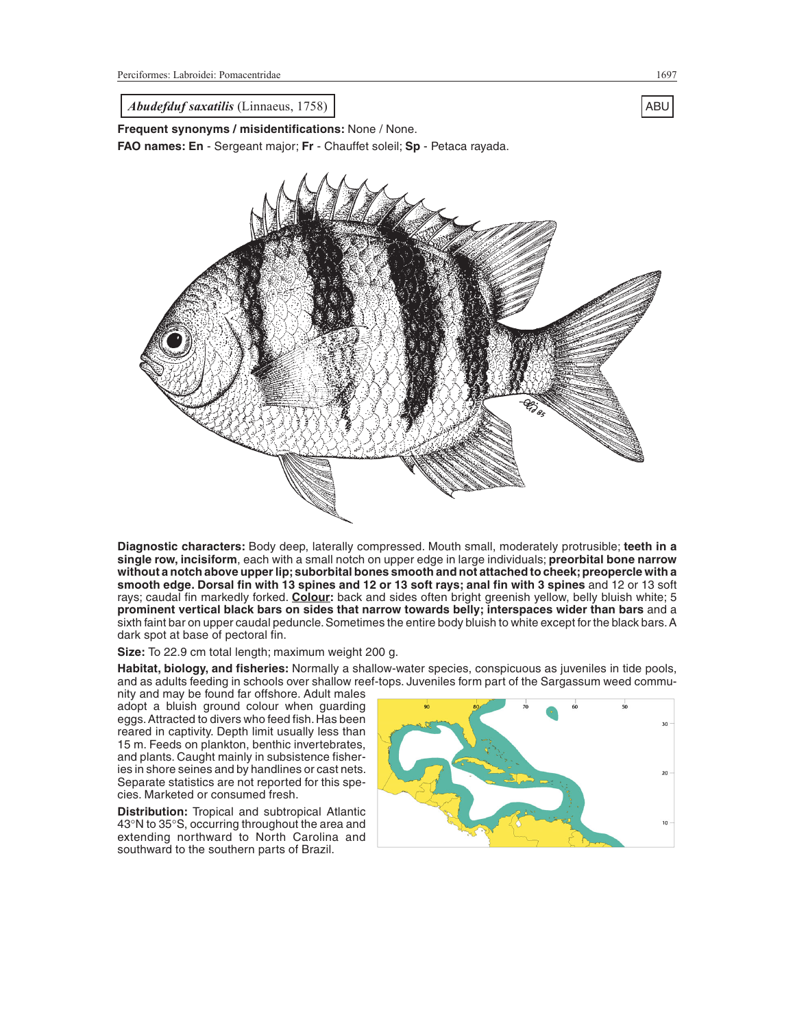<span id="page-3-0"></span>*Abudefduf saxatilis* (Linnaeus, 1758) and the same of the same of the same of the same of the same of the same of the same of the same of the same of the same of the same of the same of the same of the same of the same of

**Frequent synonyms / misidentifications:** None / None.

**FAO names: En** - Sergeant major; **Fr** - Chauffet soleil; **Sp** - Petaca rayada.



**Diagnostic characters:** Body deep, laterally compressed. Mouth small, moderately protrusible; **teeth in a single row, incisiform**, each with a small notch on upper edge in large individuals; **preorbital bone narrow without a notch above upper lip;suborbital bones smooth and not attached to cheek;preopercle with a smooth edge. Dorsal fin with 13 spines and 12 or 13 soft rays; anal fin with 3 spines** and 12 or 13 soft rays; caudal fin markedly forked. **Colour:** back and sides often bright greenish yellow, belly bluish white; 5 **prominent vertical black bars on sides that narrow towards belly; interspaces wider than bars** and a sixth faint bar on upper caudal peduncle. Sometimes the entire body bluish to white except for the black bars. A dark spot at base of pectoral fin.

**Size:** To 22.9 cm total length; maximum weight 200 g.

**Habitat, biology, and fisheries:** Normally a shallow-water species, conspicuous as juveniles in tide pools, and as adults feeding in schools over shallow reef-tops. Juveniles form part of the Sargassum weed commu-

nity and may be found far offshore. Adult males adopt a bluish ground colour when guarding eggs. Attracted to divers who feed fish. Has been reared in captivity. Depth limit usually less than 15 m. Feeds on plankton, benthic invertebrates, and plants. Caught mainly in subsistence fisheries in shore seines and by handlines or cast nets. Separate statistics are not reported for this species. Marketed or consumed fresh.

**Distribution:** Tropical and subtropical Atlantic 43°N to 35°S, occurring throughout the area and extending northward to North Carolina and southward to the southern parts of Brazil.

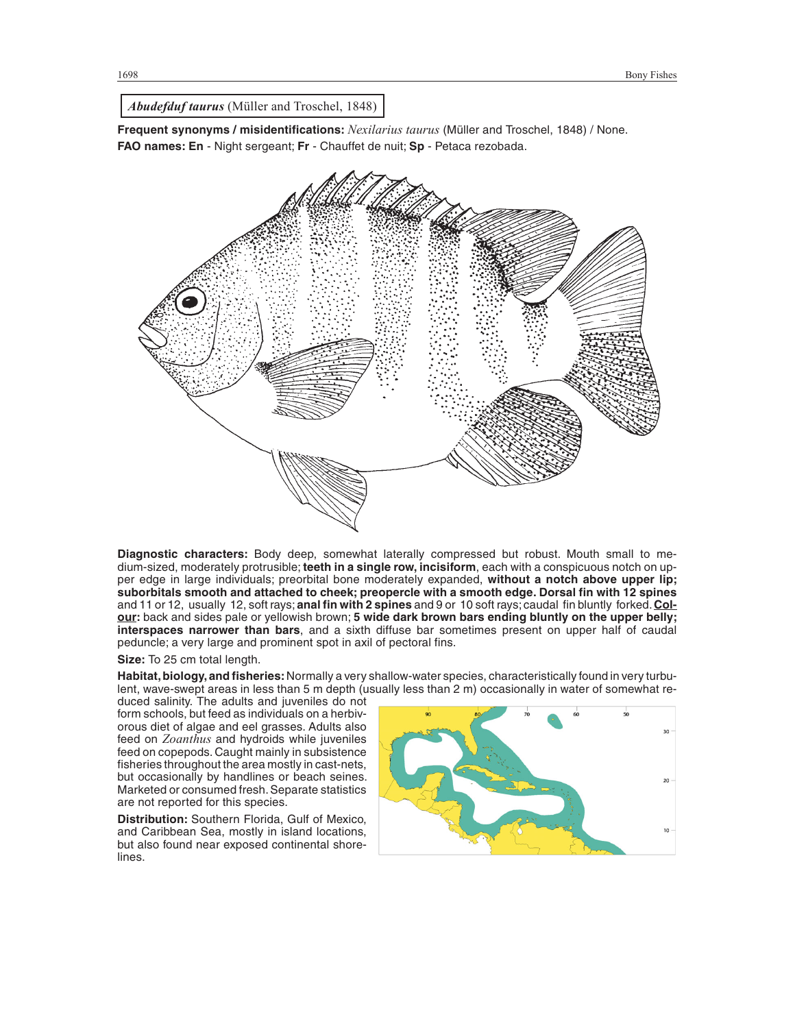*Abudefduf taurus* (Müller and Troschel, 1848)

**Frequent synonyms / misidentifications:** *Nexilarius taurus* (Müller and Troschel, 1848) / None. **FAO names: En** - Night sergeant; **Fr** - Chauffet de nuit; **Sp** - Petaca rezobada.



**Diagnostic characters:** Body deep, somewhat laterally compressed but robust. Mouth small to medium-sized, moderately protrusible; **teeth in a single row, incisiform**, each with a conspicuous notch on upper edge in large individuals; preorbital bone moderately expanded, **without a notch above upper lip; suborbitals smooth and attached to cheek; preopercle with a smooth edge. Dorsal fin with 12 spines** and 11 or 12, usually 12, soft rays; **anal fin with 2 spines** and 9 or 10 soft rays; caudal fin bluntly forked.**Colour:** back and sides pale or yellowish brown; **5 wide dark brown bars ending bluntly on the upper belly; interspaces narrower than bars**, and a sixth diffuse bar sometimes present on upper half of caudal peduncle; a very large and prominent spot in axil of pectoral fins.

**Size:** To 25 cm total length.

Habitat, biology, and fisheries: Normally a very shallow-water species, characteristically found in very turbulent, wave-swept areas in less than 5 m depth (usually less than 2 m) occasionally in water of somewhat re-

duced salinity. The adults and juveniles do not form schools, but feed as individuals on a herbivorous diet of algae and eel grasses. Adults also feed on *Zoanthus* and hydroids while juveniles feed on copepods. Caught mainly in subsistence fisheries throughout the area mostly in cast-nets, but occasionally by handlines or beach seines. Marketed or consumed fresh. Separate statistics are not reported for this species.

**Distribution:** Southern Florida, Gulf of Mexico, and Caribbean Sea, mostly in island locations, but also found near exposed continental shorelines.

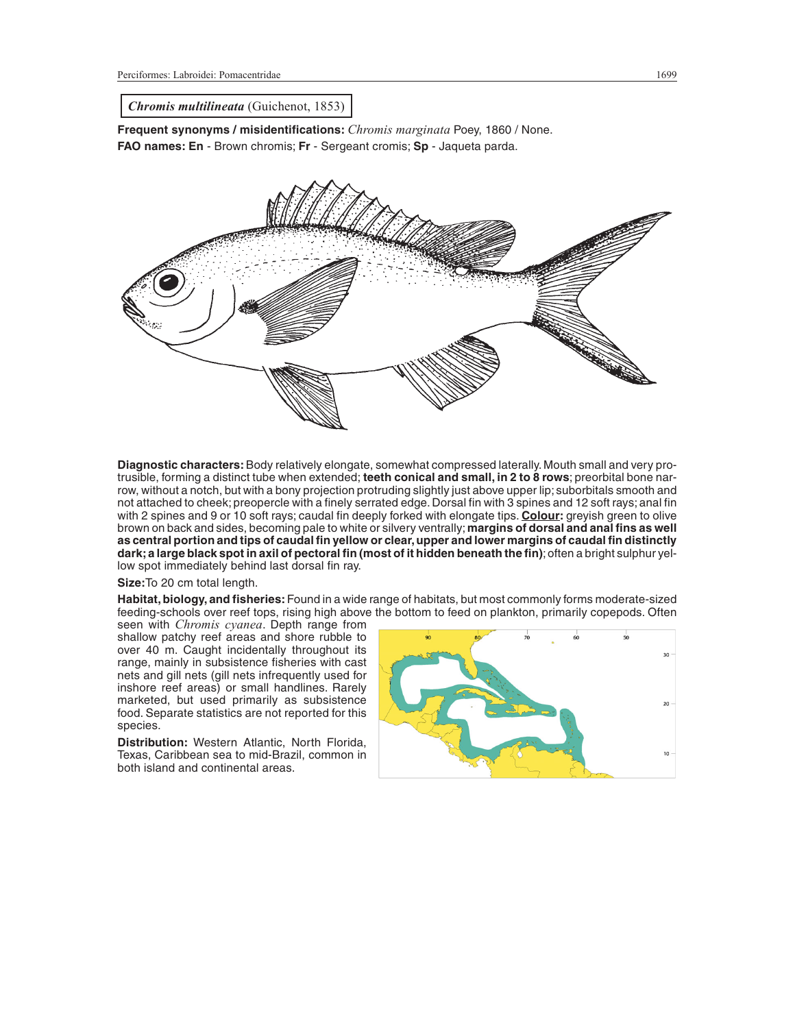*Chromis multilineata* (Guichenot, 1853)

**Frequent synonyms / misidentifications:** *Chromis marginata* Poey, 1860 / None. **FAO names: En** - Brown chromis; **Fr** - Sergeant cromis; **Sp** - Jaqueta parda.



**Diagnostic characters:**Body relatively elongate, somewhat compressed laterally. Mouth small and very protrusible, forming a distinct tube when extended; **teeth conical and small, in 2 to 8 rows**; preorbital bone narrow, without a notch, but with a bony projection protruding slightly just above upper lip; suborbitals smooth and not attached to cheek; preopercle with a finely serrated edge. Dorsal fin with 3 spines and 12 soft rays; anal fin with 2 spines and 9 or 10 soft rays; caudal fin deeply forked with elongate tips. **Colour:** greyish green to olive brown on back and sides, becoming pale to white or silvery ventrally;**margins of dorsal and anal fins as well as central portion and tips of caudal fin yellow or clear, upper and lower margins of caudal fin distinctly dark; a large black spot in axil of pectoral fin (most of it hidden beneath the fin)**; often a bright sulphur yellow spot immediately behind last dorsal fin ray.

**Size:**To 20 cm total length.

**Habitat, biology, and fisheries:**Found in a wide range of habitats, but most commonly forms moderate-sized feeding-schools over reef tops, rising high above the bottom to feed on plankton, primarily copepods. Often

seen with *Chromis cyanea*. Depth range from shallow patchy reef areas and shore rubble to over 40 m. Caught incidentally throughout its range, mainly in subsistence fisheries with cast nets and gill nets (gill nets infrequently used for inshore reef areas) or small handlines. Rarely marketed, but used primarily as subsistence food. Separate statistics are not reported for this species.

**Distribution:** Western Atlantic, North Florida, Texas, Caribbean sea to mid-Brazil, common in both island and continental areas.